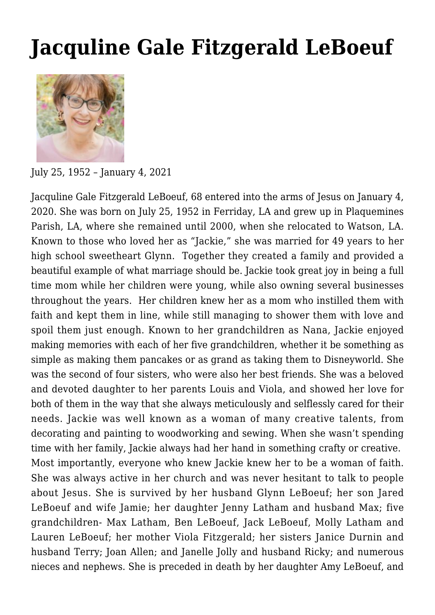## **[Jacquline Gale Fitzgerald LeBoeuf](https://sealefuneral.com/2021/01/04/jacquline-gale-leboeuf/)**



July 25, 1952 – January 4, 2021

Jacquline Gale Fitzgerald LeBoeuf, 68 entered into the arms of Jesus on January 4, 2020. She was born on July 25, 1952 in Ferriday, LA and grew up in Plaquemines Parish, LA, where she remained until 2000, when she relocated to Watson, LA. Known to those who loved her as "Jackie," she was married for 49 years to her high school sweetheart Glynn. Together they created a family and provided a beautiful example of what marriage should be. Jackie took great joy in being a full time mom while her children were young, while also owning several businesses throughout the years. Her children knew her as a mom who instilled them with faith and kept them in line, while still managing to shower them with love and spoil them just enough. Known to her grandchildren as Nana, Jackie enjoyed making memories with each of her five grandchildren, whether it be something as simple as making them pancakes or as grand as taking them to Disneyworld. She was the second of four sisters, who were also her best friends. She was a beloved and devoted daughter to her parents Louis and Viola, and showed her love for both of them in the way that she always meticulously and selflessly cared for their needs. Jackie was well known as a woman of many creative talents, from decorating and painting to woodworking and sewing. When she wasn't spending time with her family, Jackie always had her hand in something crafty or creative. Most importantly, everyone who knew Jackie knew her to be a woman of faith. She was always active in her church and was never hesitant to talk to people about Jesus. She is survived by her husband Glynn LeBoeuf; her son Jared LeBoeuf and wife Jamie; her daughter Jenny Latham and husband Max; five grandchildren- Max Latham, Ben LeBoeuf, Jack LeBoeuf, Molly Latham and Lauren LeBoeuf; her mother Viola Fitzgerald; her sisters Janice Durnin and husband Terry; Joan Allen; and Janelle Jolly and husband Ricky; and numerous nieces and nephews. She is preceded in death by her daughter Amy LeBoeuf, and